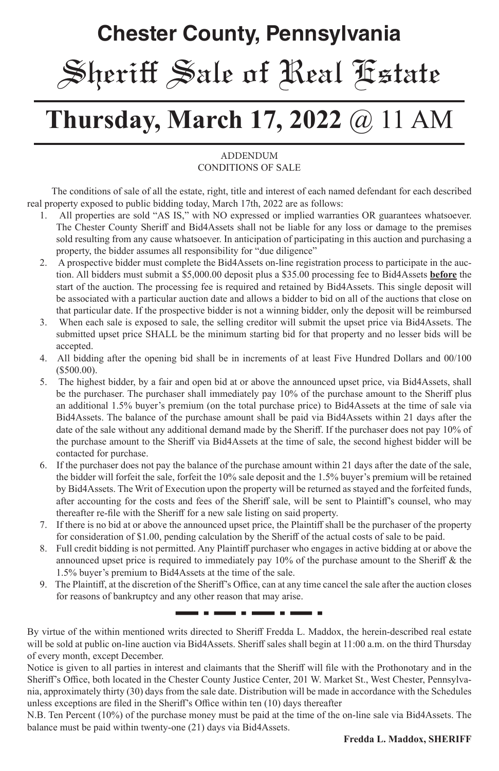# **Chester County, Pennsylvania** Sheriff Sale of Real Estate

# **Thursday, March 17, 2022** @ 11 AM

#### ADDENDUM CONDITIONS OF SALE

 The conditions of sale of all the estate, right, title and interest of each named defendant for each described real property exposed to public bidding today, March 17th, 2022 are as follows:

- 1. All properties are sold "AS IS," with NO expressed or implied warranties OR guarantees whatsoever. The Chester County Sheriff and Bid4Assets shall not be liable for any loss or damage to the premises sold resulting from any cause whatsoever. In anticipation of participating in this auction and purchasing a property, the bidder assumes all responsibility for "due diligence"
- 2. A prospective bidder must complete the Bid4Assets on-line registration process to participate in the auction. All bidders must submit a \$5,000.00 deposit plus a \$35.00 processing fee to Bid4Assets **before** the start of the auction. The processing fee is required and retained by Bid4Assets. This single deposit will be associated with a particular auction date and allows a bidder to bid on all of the auctions that close on that particular date. If the prospective bidder is not a winning bidder, only the deposit will be reimbursed
- 3. When each sale is exposed to sale, the selling creditor will submit the upset price via Bid4Assets. The submitted upset price SHALL be the minimum starting bid for that property and no lesser bids will be accepted.
- 4. All bidding after the opening bid shall be in increments of at least Five Hundred Dollars and 00/100 (\$500.00).
- 5. The highest bidder, by a fair and open bid at or above the announced upset price, via Bid4Assets, shall be the purchaser. The purchaser shall immediately pay 10% of the purchase amount to the Sheriff plus an additional 1.5% buyer's premium (on the total purchase price) to Bid4Assets at the time of sale via Bid4Assets. The balance of the purchase amount shall be paid via Bid4Assets within 21 days after the date of the sale without any additional demand made by the Sheriff. If the purchaser does not pay 10% of the purchase amount to the Sheriff via Bid4Assets at the time of sale, the second highest bidder will be contacted for purchase.
- 6. If the purchaser does not pay the balance of the purchase amount within 21 days after the date of the sale, the bidder will forfeit the sale, forfeit the 10% sale deposit and the 1.5% buyer's premium will be retained by Bid4Assets. The Writ of Execution upon the property will be returned as stayed and the forfeited funds, after accounting for the costs and fees of the Sheriff sale, will be sent to Plaintiff's counsel, who may thereafter re-file with the Sheriff for a new sale listing on said property.
- 7. If there is no bid at or above the announced upset price, the Plaintiff shall be the purchaser of the property for consideration of \$1.00, pending calculation by the Sheriff of the actual costs of sale to be paid.
- 8. Full credit bidding is not permitted. Any Plaintiff purchaser who engages in active bidding at or above the announced upset price is required to immediately pay 10% of the purchase amount to the Sheriff & the 1.5% buyer's premium to Bid4Assets at the time of the sale.
- 9. The Plaintiff, at the discretion of the Sheriff's Office, can at any time cancel the sale after the auction closes for reasons of bankruptcy and any other reason that may arise.

-----

By virtue of the within mentioned writs directed to Sheriff Fredda L. Maddox, the herein-described real estate will be sold at public on-line auction via Bid4Assets. Sheriff sales shall begin at 11:00 a.m. on the third Thursday of every month, except December.

- - -

. . .

Notice is given to all parties in interest and claimants that the Sheriff will file with the Prothonotary and in the Sheriff's Office, both located in the Chester County Justice Center, 201 W. Market St., West Chester, Pennsylvania, approximately thirty (30) days from the sale date. Distribution will be made in accordance with the Schedules unless exceptions are filed in the Sheriff's Office within ten (10) days thereafter

N.B. Ten Percent (10%) of the purchase money must be paid at the time of the on-line sale via Bid4Assets. The balance must be paid within twenty-one (21) days via Bid4Assets.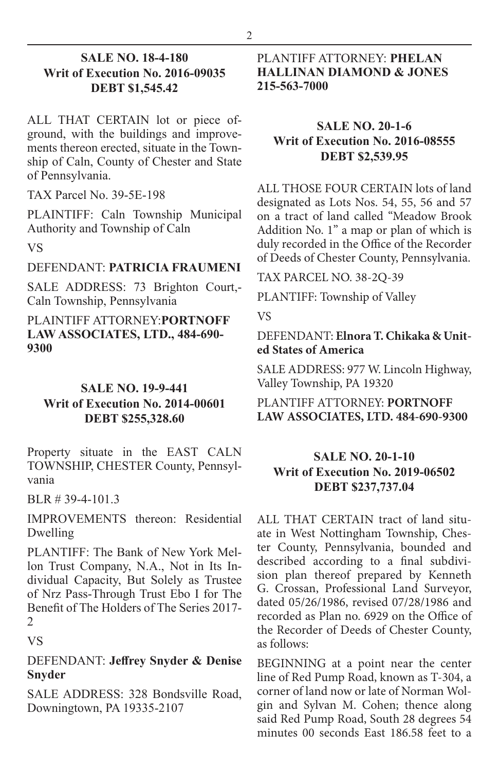#### **SALE NO. 18-4-180 Writ of Execution No. 2016-09035 DEBT \$1,545.42**

ALL THAT CERTAIN lot or piece ofground, with the buildings and improvements thereon erected, situate in the Township of Caln, County of Chester and State of Pennsylvania.

TAX Parcel No. 39-5E-198

PLAINTIFF: Caln Township Municipal Authority and Township of Caln

VS

#### DEFENDANT: **PATRICIA FRAUMENI**

SALE ADDRESS: 73 Brighton Court,- Caln Township, Pennsylvania

PLAINTIFF ATTORNEY:**PORTNOFF LAW ASSOCIATES, LTD., 484-690- 9300**

# **SALE NO. 19-9-441 Writ of Execution No. 2014-00601 DEBT \$255,328.60**

Property situate in the EAST CALN TOWNSHIP, CHESTER County, Pennsylvania

BLR # 39-4-101.3

IMPROVEMENTS thereon: Residential Dwelling

PLANTIFF: The Bank of New York Mellon Trust Company, N.A., Not in Its Individual Capacity, But Solely as Trustee of Nrz Pass-Through Trust Ebo I for The Benefit of The Holders of The Series 2017-  $\mathfrak{D}$ 

VS

#### DEFENDANT: **Jeffrey Snyder & Denise Snyder**

SALE ADDRESS: 328 Bondsville Road, Downingtown, PA 19335-2107

PLANTIFF ATTORNEY: **PHELAN HALLINAN DIAMOND & JONES 215-563-7000**

# **SALE NO. 20-1-6 Writ of Execution No. 2016-08555 DEBT \$2,539.95**

ALL THOSE FOUR CERTAIN lots of land designated as Lots Nos. 54, 55, 56 and 57 on a tract of land called "Meadow Brook Addition No. 1" a map or plan of which is duly recorded in the Office of the Recorder of Deeds of Chester County, Pennsylvania.

TAX PARCEL NO. 38-2Q-39

PLANTIFF: Township of Valley

VS

#### DEFENDANT: **Elnora T. Chikaka & United States of America**

SALE ADDRESS: 977 W. Lincoln Highway, Valley Township, PA 19320

PLANTIFF ATTORNEY: **PORTNOFF LAW ASSOCIATES, LTD. 484-690-9300**

#### **SALE NO. 20-1-10 Writ of Execution No. 2019-06502 DEBT \$237,737.04**

ALL THAT CERTAIN tract of land situate in West Nottingham Township, Chester County, Pennsylvania, bounded and described according to a final subdivision plan thereof prepared by Kenneth G. Crossan, Professional Land Surveyor, dated 05/26/1986, revised 07/28/1986 and recorded as Plan no. 6929 on the Office of the Recorder of Deeds of Chester County, as follows:

BEGINNING at a point near the center line of Red Pump Road, known as T-304, a corner of land now or late of Norman Wolgin and Sylvan M. Cohen; thence along said Red Pump Road, South 28 degrees 54 minutes 00 seconds East 186.58 feet to a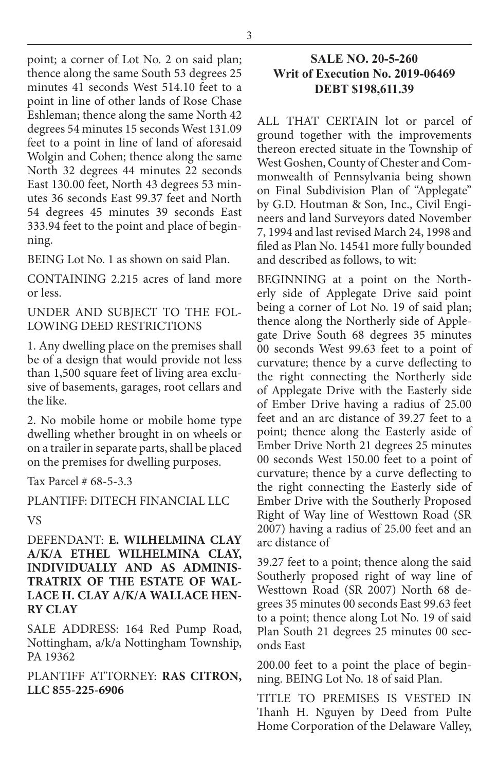point; a corner of Lot No. 2 on said plan; thence along the same South 53 degrees 25 minutes 41 seconds West 514.10 feet to a point in line of other lands of Rose Chase Eshleman; thence along the same North 42 degrees 54 minutes 15 seconds West 131.09 feet to a point in line of land of aforesaid Wolgin and Cohen; thence along the same North 32 degrees 44 minutes 22 seconds East 130.00 feet, North 43 degrees 53 minutes 36 seconds East 99.37 feet and North 54 degrees 45 minutes 39 seconds East 333.94 feet to the point and place of beginning.

BEING Lot No. 1 as shown on said Plan.

CONTAINING 2.215 acres of land more or less.

UNDER AND SUBJECT TO THE FOL-LOWING DEED RESTRICTIONS

1. Any dwelling place on the premises shall be of a design that would provide not less than 1,500 square feet of living area exclusive of basements, garages, root cellars and the like.

2. No mobile home or mobile home type dwelling whether brought in on wheels or on a trailer in separate parts, shall be placed on the premises for dwelling purposes.

Tax Parcel # 68-5-3.3

PLANTIFF: DITECH FINANCIAL LLC

VS

DEFENDANT: **E. WILHELMINA CLAY A/K/A ETHEL WILHELMINA CLAY, INDIVIDUALLY AND AS ADMINIS-TRATRIX OF THE ESTATE OF WAL-LACE H. CLAY A/K/A WALLACE HEN-RY CLAY**

SALE ADDRESS: 164 Red Pump Road, Nottingham, a/k/a Nottingham Township, PA 19362

PLANTIFF ATTORNEY: **RAS CITRON, LLC 855-225-6906**

# **SALE NO. 20-5-260 Writ of Execution No. 2019-06469 DEBT \$198,611.39**

ALL THAT CERTAIN lot or parcel of ground together with the improvements thereon erected situate in the Township of West Goshen, County of Chester and Commonwealth of Pennsylvania being shown on Final Subdivision Plan of "Applegate" by G.D. Houtman & Son, Inc., Civil Engineers and land Surveyors dated November 7, 1994 and last revised March 24, 1998 and filed as Plan No. 14541 more fully bounded and described as follows, to wit:

BEGINNING at a point on the Northerly side of Applegate Drive said point being a corner of Lot No. 19 of said plan; thence along the Northerly side of Applegate Drive South 68 degrees 35 minutes 00 seconds West 99.63 feet to a point of curvature; thence by a curve deflecting to the right connecting the Northerly side of Applegate Drive with the Easterly side of Ember Drive having a radius of 25.00 feet and an arc distance of 39.27 feet to a point; thence along the Easterly aside of Ember Drive North 21 degrees 25 minutes 00 seconds West 150.00 feet to a point of curvature; thence by a curve deflecting to the right connecting the Easterly side of Ember Drive with the Southerly Proposed Right of Way line of Westtown Road (SR 2007) having a radius of 25.00 feet and an arc distance of

39.27 feet to a point; thence along the said Southerly proposed right of way line of Westtown Road (SR 2007) North 68 degrees 35 minutes 00 seconds East 99.63 feet to a point; thence along Lot No. 19 of said Plan South 21 degrees 25 minutes 00 seconds East

200.00 feet to a point the place of beginning. BEING Lot No. 18 of said Plan.

TITLE TO PREMISES IS VESTED IN Thanh H. Nguyen by Deed from Pulte Home Corporation of the Delaware Valley,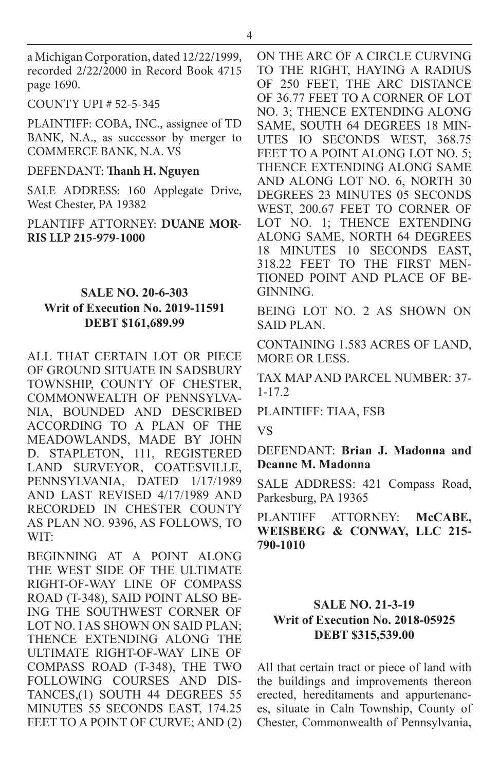a Michigan Corporation, dated 12/22/1999, recorded 2/22/2000 in Record Book 4715 page 1690.

COUNTY UPI # 52-5-345

PLAINTIFF: COBA, INC., assignee of TD BANK, N.A., as successor by merger to COMMERCE BANK, N.A. VS

DEFENDANT: **Thanh H. Nguyen**

SALE ADDRESS: 160 Applegate Drive, West Chester, PA 19382

PLANTIFF ATTORNEY: **DUANE MOR-RIS LLP 215-979-1000**

# **SALE NO. 20-6-303 Writ of Execution No. 2019-11591 DEBT \$161,689.99**

ALL THAT CERTAIN LOT OR PIECE OF GROUND SITUATE IN SADSBURY TOWNSHIP, COUNTY OF CHESTER, COMMONWEALTH OF PENNSYLVA-NIA, BOUNDED AND DESCRIBED ACCORDING TO A PLAN OF THE MEADOWLANDS, MADE BY JOHN D. STAPLETON, 111, REGISTERED LAND SURVEYOR, COATESVILLE, PENNSYLVANIA, DATED 1/17/1989 AND LAST REVISED 4/17/1989 AND RECORDED IN CHESTER COUNTY AS PLAN NO. 9396, AS FOLLOWS, TO WIT:

BEGINNING AT A POINT ALONG THE WEST SIDE OF THE ULTIMATE RIGHT-OF-WAY LINE OF COMPASS ROAD (T-348), SAID POINT ALSO BE-ING THE SOUTHWEST CORNER OF LOT NO. I AS SHOWN ON SAID PLAN; THENCE EXTENDING ALONG THE ULTIMATE RIGHT-OF-WAY LINE OF COMPASS ROAD (T-348), THE TWO FOLLOWING COURSES AND DIS-TANCES,(1) SOUTH 44 DEGREES 55 MINUTES 55 SECONDS EAST, 174.25 FEET TO A POINT OF CURVE; AND (2) ON THE ARC OF A CIRCLE CURVING TO THE RIGHT, HAYING A RADIUS OF 250 FEET, THE ARC DISTANCE OF 36.77 FEET TO A CORNER OF LOT NO. 3; THENCE EXTENDING ALONG SAME, SOUTH 64 DEGREES 18 MIN-UTES IO SECONDS WEST, 368.75 FEET TO A POINT ALONG LOT NO. 5; THENCE EXTENDING ALONG SAME AND ALONG LOT NO. 6, NORTH 30 DEGREES 23 MINUTES 05 SECONDS WEST, 200.67 FEET TO CORNER OF LOT NO. 1; THENCE EXTENDING ALONG SAME, NORTH 64 DEGREES 18 MINUTES 10 SECONDS EAST, 318.22 FEET TO THE FIRST MEN-TIONED POINT AND PLACE OF BE-GINNING.

BEING LOT NO. 2 AS SHOWN ON SAID PLAN.

CONTAINING 1.583 ACRES OF LAND, MORE OR LESS.

TAX MAP AND PARCEL NUMBER: 37- 1-17.2

PLAINTIFF: TIAA, FSB

VS

#### DEFENDANT: **Brian J. Madonna and Deanne M. Madonna**

SALE ADDRESS: 421 Compass Road, Parkesburg, PA 19365

PLANTIFF ATTORNEY: **McCABE, WEISBERG & CONWAY, LLC 215- 790-1010**

#### **SALE NO. 21-3-19 Writ of Execution No. 2018-05925 DEBT \$315,539.00**

All that certain tract or piece of land with the buildings and improvements thereon erected, hereditaments and appurtenances, situate in Caln Township, County of Chester, Commonwealth of Pennsylvania,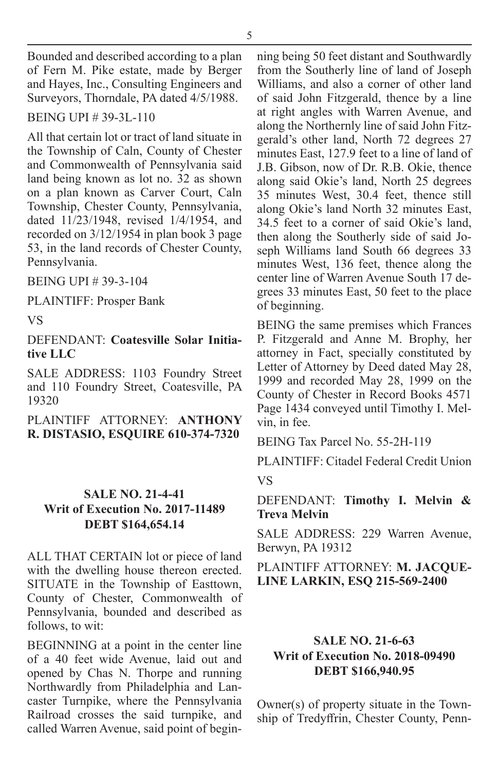Bounded and described according to a plan of Fern M. Pike estate, made by Berger and Hayes, Inc., Consulting Engineers and Surveyors, Thorndale, PA dated 4/5/1988.

BEING UPI # 39-3L-110

All that certain lot or tract of land situate in the Township of Caln, County of Chester and Commonwealth of Pennsylvania said land being known as lot no. 32 as shown on a plan known as Carver Court, Caln Township, Chester County, Pennsylvania, dated 11/23/1948, revised 1/4/1954, and recorded on 3/12/1954 in plan book 3 page 53, in the land records of Chester County, Pennsylvania.

BEING UPI # 39-3-104

PLAINTIFF: Prosper Bank

VS

DEFENDANT: **Coatesville Solar Initiative LLC**

SALE ADDRESS: 1103 Foundry Street and 110 Foundry Street, Coatesville, PA 19320

PLAINTIFF ATTORNEY: **ANTHONY R. DISTASIO, ESQUIRE 610-374-7320**

#### **SALE NO. 21-4-41 Writ of Execution No. 2017-11489 DEBT \$164,654.14**

ALL THAT CERTAIN lot or piece of land with the dwelling house thereon erected. SITUATE in the Township of Easttown, County of Chester, Commonwealth of Pennsylvania, bounded and described as follows, to wit:

BEGINNING at a point in the center line of a 40 feet wide Avenue, laid out and opened by Chas N. Thorpe and running Northwardly from Philadelphia and Lancaster Turnpike, where the Pennsylvania Railroad crosses the said turnpike, and called Warren Avenue, said point of begin-

ning being 50 feet distant and Southwardly from the Southerly line of land of Joseph Williams, and also a corner of other land of said John Fitzgerald, thence by a line at right angles with Warren Avenue, and along the Northernly line of said John Fitzgerald's other land, North 72 degrees 27 minutes East, 127.9 feet to a line of land of J.B. Gibson, now of Dr. R.B. Okie, thence along said Okie's land, North 25 degrees 35 minutes West, 30.4 feet, thence still along Okie's land North 32 minutes East, 34.5 feet to a corner of said Okie's land, then along the Southerly side of said Joseph Williams land South 66 degrees 33 minutes West, 136 feet, thence along the center line of Warren Avenue South 17 degrees 33 minutes East, 50 feet to the place of beginning.

BEING the same premises which Frances P. Fitzgerald and Anne M. Brophy, her attorney in Fact, specially constituted by Letter of Attorney by Deed dated May 28, 1999 and recorded May 28, 1999 on the County of Chester in Record Books 4571 Page 1434 conveyed until Timothy I. Melvin, in fee.

BEING Tax Parcel No. 55-2H-119

PLAINTIFF: Citadel Federal Credit Union VS

#### DEFENDANT: **Timothy I. Melvin & Treva Melvin**

SALE ADDRESS: 229 Warren Avenue, Berwyn, PA 19312

PLAINTIFF ATTORNEY: **M. JACQUE-LINE LARKIN, ESQ 215-569-2400**

# **SALE NO. 21-6-63 Writ of Execution No. 2018-09490 DEBT \$166,940.95**

Owner(s) of property situate in the Township of Tredyffrin, Chester County, Penn-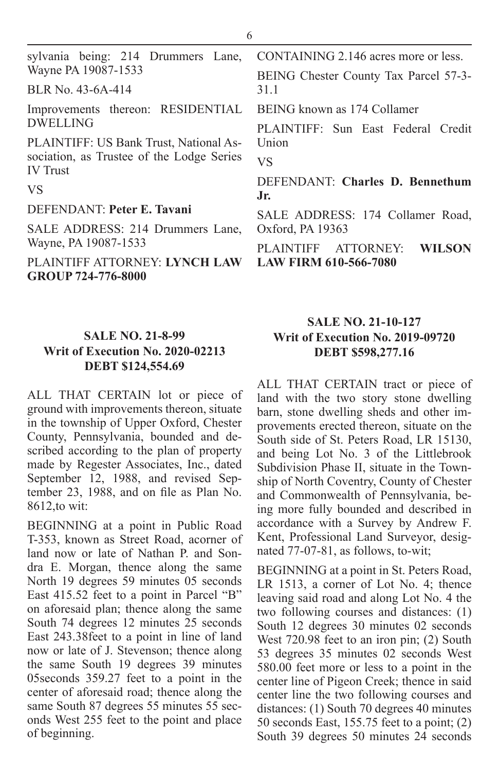| sylvania being: 214 Drummers Lane,                                                                     | CONTAINING 2.146 acres more or less.    |
|--------------------------------------------------------------------------------------------------------|-----------------------------------------|
| Wayne PA 19087-1533                                                                                    | BEING Chester County Tax Parcel 57-3-   |
| BLR No. 43-6A-414                                                                                      | 31.1                                    |
| Improvements thereon: RESIDENTIAL BEING known as 174 Collamer<br><b>DWELLING</b>                       |                                         |
|                                                                                                        | PLAINTIFF: Sun East Federal Credit      |
| PLAINTIFF: US Bank Trust, National As-<br>sociation, as Trustee of the Lodge Series<br><b>IV</b> Trust | Union                                   |
|                                                                                                        | VS                                      |
|                                                                                                        | DEFENDANT: Charles D. Bennethum         |
| <b>VS</b>                                                                                              | .Jr.                                    |
| DEFENDANT: Peter E. Tavani                                                                             | SALE ADDRESS: 174 Collamer Road,        |
| SALE ADDRESS: 214 Drummers Lane,                                                                       | Oxford, PA 19363                        |
| Wayne, PA 19087-1533                                                                                   | ATTORNEY:<br><b>WILSON</b><br>PLAINTIFF |
| PLAINTIFF ATTORNEY: LYNCH LAW                                                                          | <b>LAW FIRM 610-566-7080</b>            |
| GROUP 724-776-8000                                                                                     |                                         |

#### **SALE NO. 21-8-99 Writ of Execution No. 2020-02213 DEBT \$124,554.69**

ALL THAT CERTAIN lot or piece of ground with improvements thereon, situate in the township of Upper Oxford, Chester County, Pennsylvania, bounded and described according to the plan of property made by Regester Associates, Inc., dated September 12, 1988, and revised September 23, 1988, and on file as Plan No. 8612,to wit:

BEGINNING at a point in Public Road T-353, known as Street Road, acorner of land now or late of Nathan P. and Sondra E. Morgan, thence along the same North 19 degrees 59 minutes 05 seconds East 415.52 feet to a point in Parcel "B" on aforesaid plan; thence along the same South 74 degrees 12 minutes 25 seconds East 243.38feet to a point in line of land now or late of J. Stevenson; thence along the same South 19 degrees 39 minutes 05seconds 359.27 feet to a point in the center of aforesaid road; thence along the same South 87 degrees 55 minutes 55 seconds West 255 feet to the point and place of beginning.

## **SALE NO. 21-10-127 Writ of Execution No. 2019-09720 DEBT \$598,277.16**

ALL THAT CERTAIN tract or piece of land with the two story stone dwelling barn, stone dwelling sheds and other improvements erected thereon, situate on the South side of St. Peters Road, LR 15130, and being Lot No. 3 of the Littlebrook Subdivision Phase II, situate in the Township of North Coventry, County of Chester and Commonwealth of Pennsylvania, being more fully bounded and described in accordance with a Survey by Andrew F. Kent, Professional Land Surveyor, designated 77-07-81, as follows, to-wit;

BEGINNING at a point in St. Peters Road, LR 1513, a corner of Lot No. 4; thence leaving said road and along Lot No. 4 the two following courses and distances: (1) South 12 degrees 30 minutes 02 seconds West 720.98 feet to an iron pin; (2) South 53 degrees 35 minutes 02 seconds West 580.00 feet more or less to a point in the center line of Pigeon Creek; thence in said center line the two following courses and distances: (1) South 70 degrees 40 minutes 50 seconds East, 155.75 feet to a point; (2) South 39 degrees 50 minutes 24 seconds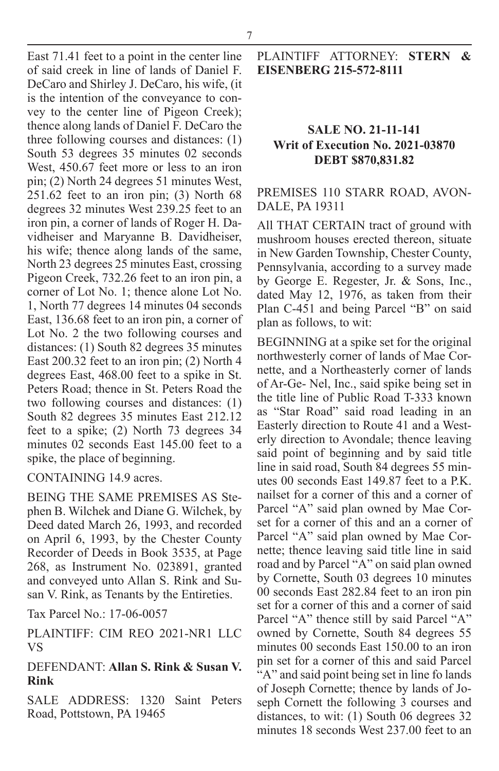East 71.41 feet to a point in the center line of said creek in line of lands of Daniel F. DeCaro and Shirley J. DeCaro, his wife, (it is the intention of the conveyance to convey to the center line of Pigeon Creek); thence along lands of Daniel F. DeCaro the three following courses and distances: (1) South 53 degrees 35 minutes 02 seconds West, 450.67 feet more or less to an iron pin; (2) North 24 degrees 51 minutes West, 251.62 feet to an iron pin; (3) North 68 degrees 32 minutes West 239.25 feet to an iron pin, a corner of lands of Roger H. Davidheiser and Maryanne B. Davidheiser, his wife; thence along lands of the same, North 23 degrees 25 minutes East, crossing Pigeon Creek, 732.26 feet to an iron pin, a corner of Lot No. 1; thence alone Lot No. 1, North 77 degrees 14 minutes 04 seconds East, 136.68 feet to an iron pin, a corner of Lot No. 2 the two following courses and distances: (1) South 82 degrees 35 minutes East 200.32 feet to an iron pin; (2) North 4 degrees East, 468.00 feet to a spike in St. Peters Road; thence in St. Peters Road the two following courses and distances: (1) South 82 degrees 35 minutes East 212.12 feet to a spike; (2) North 73 degrees 34 minutes 02 seconds East 145.00 feet to a spike, the place of beginning.

#### CONTAINING 14.9 acres.

BEING THE SAME PREMISES AS Stephen B. Wilchek and Diane G. Wilchek, by Deed dated March 26, 1993, and recorded on April 6, 1993, by the Chester County Recorder of Deeds in Book 3535, at Page 268, as Instrument No. 023891, granted and conveyed unto Allan S. Rink and Susan V. Rink, as Tenants by the Entireties.

Tax Parcel No.: 17-06-0057

PLAINTIFF: CIM REO 2021-NR1 LLC VS

#### DEFENDANT: **Allan S. Rink & Susan V. Rink**

SALE ADDRESS: 1320 Saint Peters Road, Pottstown, PA 19465

PLAINTIFF ATTORNEY: **STERN & EISENBERG 215-572-8111**

# **SALE NO. 21-11-141 Writ of Execution No. 2021-03870 DEBT \$870,831.82**

#### PREMISES 110 STARR ROAD, AVON-DALE, PA 19311

All THAT CERTAIN tract of ground with mushroom houses erected thereon, situate in New Garden Township, Chester County, Pennsylvania, according to a survey made by George E. Regester, Jr. & Sons, Inc., dated May 12, 1976, as taken from their Plan C-451 and being Parcel "B" on said plan as follows, to wit:

BEGINNING at a spike set for the original northwesterly corner of lands of Mae Cornette, and a Northeasterly corner of lands of Ar-Ge- Nel, Inc., said spike being set in the title line of Public Road T-333 known as "Star Road" said road leading in an Easterly direction to Route 41 and a Westerly direction to Avondale; thence leaving said point of beginning and by said title line in said road, South 84 degrees 55 minutes 00 seconds East 149.87 feet to a P.K. nailset for a corner of this and a corner of Parcel "A" said plan owned by Mae Corset for a corner of this and an a corner of Parcel "A" said plan owned by Mae Cornette; thence leaving said title line in said road and by Parcel "A" on said plan owned by Cornette, South 03 degrees 10 minutes 00 seconds East 282.84 feet to an iron pin set for a corner of this and a corner of said Parcel "A" thence still by said Parcel "A" owned by Cornette, South 84 degrees 55 minutes 00 seconds East 150.00 to an iron pin set for a corner of this and said Parcel "A" and said point being set in line fo lands of Joseph Cornette; thence by lands of Joseph Cornett the following 3 courses and distances, to wit: (1) South 06 degrees 32 minutes 18 seconds West 237.00 feet to an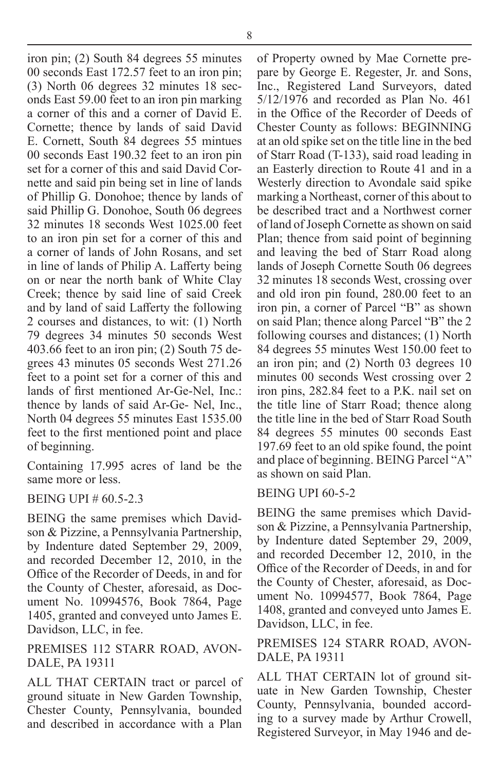8

iron pin; (2) South 84 degrees 55 minutes 00 seconds East 172.57 feet to an iron pin; (3) North 06 degrees 32 minutes 18 seconds East 59.00 feet to an iron pin marking a corner of this and a corner of David E. Cornette; thence by lands of said David E. Cornett, South 84 degrees 55 mintues 00 seconds East 190.32 feet to an iron pin set for a corner of this and said David Cornette and said pin being set in line of lands of Phillip G. Donohoe; thence by lands of said Phillip G. Donohoe, South 06 degrees 32 minutes 18 seconds West 1025.00 feet to an iron pin set for a corner of this and a corner of lands of John Rosans, and set in line of lands of Philip A. Lafferty being on or near the north bank of White Clay Creek; thence by said line of said Creek and by land of said Lafferty the following 2 courses and distances, to wit: (1) North 79 degrees 34 minutes 50 seconds West 403.66 feet to an iron pin; (2) South 75 degrees 43 minutes 05 seconds West 271.26 feet to a point set for a corner of this and lands of first mentioned Ar-Ge-Nel, Inc.: thence by lands of said Ar-Ge- Nel, Inc., North 04 degrees 55 minutes East 1535.00 feet to the first mentioned point and place of beginning.

Containing 17.995 acres of land be the same more or less.

BEING UPI # 60.5-2.3

BEING the same premises which Davidson & Pizzine, a Pennsylvania Partnership, by Indenture dated September 29, 2009, and recorded December 12, 2010, in the Office of the Recorder of Deeds, in and for the County of Chester, aforesaid, as Document No. 10994576, Book 7864, Page 1405, granted and conveyed unto James E. Davidson, LLC, in fee.

PREMISES 112 STARR ROAD, AVON-DALE, PA 19311

ALL THAT CERTAIN tract or parcel of ground situate in New Garden Township, Chester County, Pennsylvania, bounded and described in accordance with a Plan

of Property owned by Mae Cornette prepare by George E. Regester, Jr. and Sons, Inc., Registered Land Surveyors, dated 5/12/1976 and recorded as Plan No. 461 in the Office of the Recorder of Deeds of Chester County as follows: BEGINNING at an old spike set on the title line in the bed of Starr Road (T-133), said road leading in an Easterly direction to Route 41 and in a Westerly direction to Avondale said spike marking a Northeast, corner of this about to be described tract and a Northwest corner of land of Joseph Cornette as shown on said Plan; thence from said point of beginning and leaving the bed of Starr Road along lands of Joseph Cornette South 06 degrees 32 minutes 18 seconds West, crossing over and old iron pin found, 280.00 feet to an iron pin, a corner of Parcel "B" as shown on said Plan; thence along Parcel "B" the 2 following courses and distances; (1) North 84 degrees 55 minutes West 150.00 feet to an iron pin; and (2) North 03 degrees 10 minutes 00 seconds West crossing over 2 iron pins, 282.84 feet to a P.K. nail set on the title line of Starr Road; thence along the title line in the bed of Starr Road South 84 degrees 55 minutes 00 seconds East 197.69 feet to an old spike found, the point and place of beginning. BEING Parcel "A" as shown on said Plan.

BEING UPI 60-5-2

BEING the same premises which Davidson & Pizzine, a Pennsylvania Partnership, by Indenture dated September 29, 2009, and recorded December 12, 2010, in the Office of the Recorder of Deeds, in and for the County of Chester, aforesaid, as Document No. 10994577, Book 7864, Page 1408, granted and conveyed unto James E. Davidson, LLC, in fee.

# PREMISES 124 STARR ROAD, AVON-DALE, PA 19311

ALL THAT CERTAIN lot of ground situate in New Garden Township, Chester County, Pennsylvania, bounded according to a survey made by Arthur Crowell, Registered Surveyor, in May 1946 and de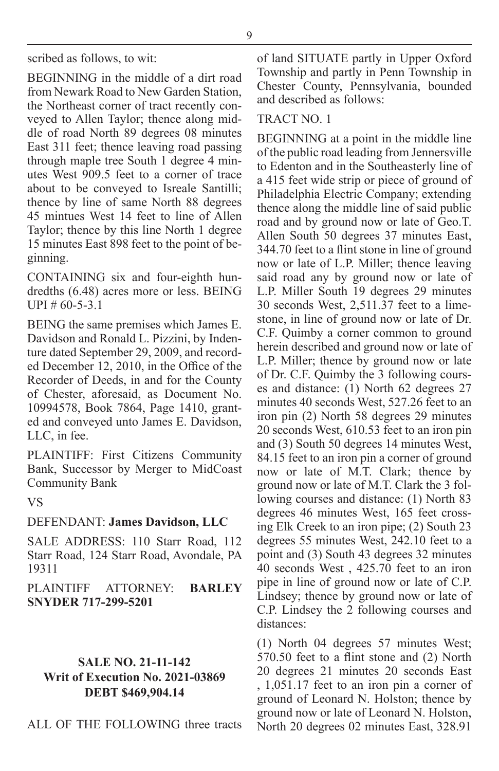scribed as follows, to wit:

BEGINNING in the middle of a dirt road from Newark Road to New Garden Station, the Northeast corner of tract recently conveyed to Allen Taylor; thence along middle of road North 89 degrees 08 minutes East 311 feet; thence leaving road passing through maple tree South 1 degree 4 minutes West 909.5 feet to a corner of trace about to be conveyed to Isreale Santilli; thence by line of same North 88 degrees 45 mintues West 14 feet to line of Allen Taylor; thence by this line North 1 degree 15 minutes East 898 feet to the point of beginning.

CONTAINING six and four-eighth hundredths (6.48) acres more or less. BEING  $UPI \# 60-5-3.1$ 

BEING the same premises which James E. Davidson and Ronald L. Pizzini, by Indenture dated September 29, 2009, and recorded December 12, 2010, in the Office of the Recorder of Deeds, in and for the County of Chester, aforesaid, as Document No. 10994578, Book 7864, Page 1410, granted and conveyed unto James E. Davidson, LLC, in fee.

PLAINTIFF: First Citizens Community Bank, Successor by Merger to MidCoast Community Bank

VS

#### DEFENDANT: **James Davidson, LLC**

SALE ADDRESS: 110 Starr Road, 112 Starr Road, 124 Starr Road, Avondale, PA 19311

PLAINTIFF ATTORNEY: **BARLEY SNYDER 717-299-5201**

# **SALE NO. 21-11-142 Writ of Execution No. 2021-03869 DEBT \$469,904.14**

ALL OF THE FOLLOWING three tracts

of land SITUATE partly in Upper Oxford Township and partly in Penn Township in Chester County, Pennsylvania, bounded and described as follows:

#### TRACT NO. 1

BEGINNING at a point in the middle line of the public road leading from Jennersville to Edenton and in the Southeasterly line of a 415 feet wide strip or piece of ground of Philadelphia Electric Company; extending thence along the middle line of said public road and by ground now or late of Geo.T. Allen South 50 degrees 37 minutes East, 344.70 feet to a flint stone in line of ground now or late of L.P. Miller; thence leaving said road any by ground now or late of L.P. Miller South 19 degrees 29 minutes 30 seconds West, 2,511.37 feet to a limestone, in line of ground now or late of Dr. C.F. Quimby a corner common to ground herein described and ground now or late of L.P. Miller; thence by ground now or late of Dr. C.F. Quimby the 3 following courses and distance: (1) North 62 degrees 27 minutes 40 seconds West, 527.26 feet to an iron pin (2) North 58 degrees 29 minutes 20 seconds West, 610.53 feet to an iron pin and (3) South 50 degrees 14 minutes West, 84.15 feet to an iron pin a corner of ground now or late of M.T. Clark; thence by ground now or late of M.T. Clark the 3 following courses and distance: (1) North 83 degrees 46 minutes West, 165 feet crossing Elk Creek to an iron pipe; (2) South 23 degrees 55 minutes West, 242.10 feet to a point and (3) South 43 degrees 32 minutes 40 seconds West , 425.70 feet to an iron pipe in line of ground now or late of C.P. Lindsey; thence by ground now or late of C.P. Lindsey the 2 following courses and distances:

(1) North 04 degrees 57 minutes West; 570.50 feet to a flint stone and (2) North 20 degrees 21 minutes 20 seconds East , 1,051.17 feet to an iron pin a corner of ground of Leonard N. Holston; thence by ground now or late of Leonard N. Holston, North 20 degrees 02 minutes East, 328.91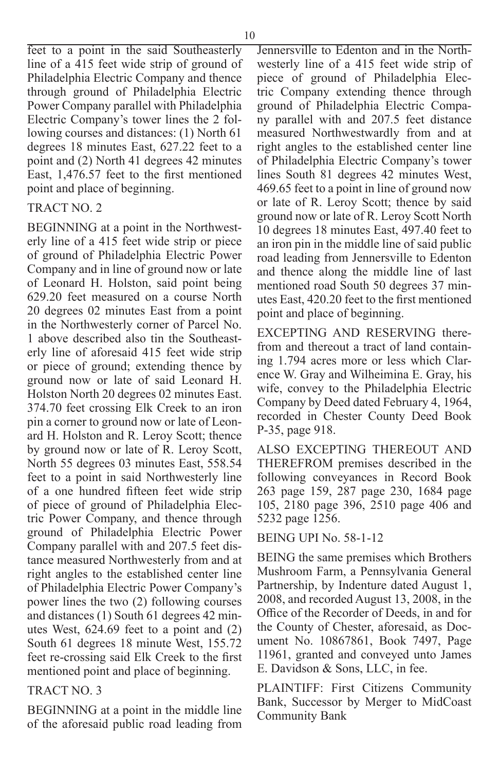feet to a point in the said Southeasterly line of a 415 feet wide strip of ground of Philadelphia Electric Company and thence through ground of Philadelphia Electric Power Company parallel with Philadelphia Electric Company's tower lines the 2 following courses and distances: (1) North 61 degrees 18 minutes East, 627.22 feet to a point and (2) North 41 degrees 42 minutes East, 1,476.57 feet to the first mentioned point and place of beginning.

#### TRACT NO. 2

BEGINNING at a point in the Northwesterly line of a 415 feet wide strip or piece of ground of Philadelphia Electric Power Company and in line of ground now or late of Leonard H. Holston, said point being 629.20 feet measured on a course North 20 degrees 02 minutes East from a point in the Northwesterly corner of Parcel No. 1 above described also tin the Southeasterly line of aforesaid 415 feet wide strip or piece of ground; extending thence by ground now or late of said Leonard H. Holston North 20 degrees 02 minutes East. 374.70 feet crossing Elk Creek to an iron pin a corner to ground now or late of Leonard H. Holston and R. Leroy Scott; thence by ground now or late of R. Leroy Scott, North 55 degrees 03 minutes East, 558.54 feet to a point in said Northwesterly line of a one hundred fifteen feet wide strip of piece of ground of Philadelphia Electric Power Company, and thence through ground of Philadelphia Electric Power Company parallel with and 207.5 feet distance measured Northwesterly from and at right angles to the established center line of Philadelphia Electric Power Company's power lines the two (2) following courses and distances (1) South 61 degrees 42 minutes West, 624.69 feet to a point and (2) South 61 degrees 18 minute West, 155.72 feet re-crossing said Elk Creek to the first mentioned point and place of beginning.

# TRACT NO. 3

BEGINNING at a point in the middle line of the aforesaid public road leading from Jennersville to Edenton and in the Northwesterly line of a 415 feet wide strip of piece of ground of Philadelphia Electric Company extending thence through ground of Philadelphia Electric Company parallel with and 207.5 feet distance measured Northwestwardly from and at right angles to the established center line of Philadelphia Electric Company's tower lines South 81 degrees 42 minutes West, 469.65 feet to a point in line of ground now or late of R. Leroy Scott; thence by said ground now or late of R. Leroy Scott North 10 degrees 18 minutes East, 497.40 feet to an iron pin in the middle line of said public road leading from Jennersville to Edenton and thence along the middle line of last mentioned road South 50 degrees 37 minutes East, 420.20 feet to the first mentioned point and place of beginning.

EXCEPTING AND RESERVING therefrom and thereout a tract of land containing 1.794 acres more or less which Clarence W. Gray and Wilheimina E. Gray, his wife, convey to the Philadelphia Electric Company by Deed dated February 4, 1964, recorded in Chester County Deed Book P-35, page 918.

ALSO EXCEPTING THEREOUT AND THEREFROM premises described in the following conveyances in Record Book 263 page 159, 287 page 230, 1684 page 105, 2180 page 396, 2510 page 406 and 5232 page 1256.

#### BEING UPI No. 58-1-12

BEING the same premises which Brothers Mushroom Farm, a Pennsylvania General Partnership, by Indenture dated August 1, 2008, and recorded August 13, 2008, in the Office of the Recorder of Deeds, in and for the County of Chester, aforesaid, as Document No. 10867861, Book 7497, Page 11961, granted and conveyed unto James E. Davidson & Sons, LLC, in fee.

PLAINTIFF: First Citizens Community Bank, Successor by Merger to MidCoast Community Bank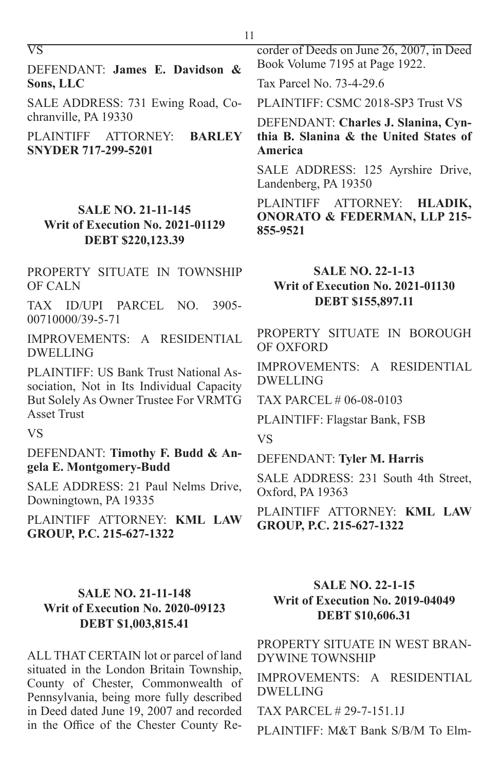$\nabla \mathbf{S}$ 

DEFENDANT: **James E. Davidson & Sons, LLC**

SALE ADDRESS: 731 Ewing Road, Cochranville, PA 19330

PLAINTIFF ATTORNEY: **BARLEY SNYDER 717-299-5201**

# **SALE NO. 21-11-145 Writ of Execution No. 2021-01129 DEBT \$220,123.39**

PROPERTY SITUATE IN TOWNSHIP OF CALN

TAX ID/UPI PARCEL NO. 3905- 00710000/39-5-71

IMPROVEMENTS: A RESIDENTIAL DWELLING

PLAINTIFF: US Bank Trust National Association, Not in Its Individual Capacity But Solely As Owner Trustee For VRMTG Asset Trust

VS

DEFENDANT: **Timothy F. Budd & Angela E. Montgomery-Budd**

SALE ADDRESS: 21 Paul Nelms Drive, Downingtown, PA 19335

PLAINTIFF ATTORNEY: **KML LAW GROUP, P.C. 215-627-1322**

#### **SALE NO. 21-11-148 Writ of Execution No. 2020-09123 DEBT \$1,003,815.41**

ALL THAT CERTAIN lot or parcel of land situated in the London Britain Township, County of Chester, Commonwealth of Pennsylvania, being more fully described in Deed dated June 19, 2007 and recorded in the Office of the Chester County Recorder of Deeds on June 26, 2007, in Deed Book Volume 7195 at Page 1922.

Tax Parcel No. 73-4-29.6

PLAINTIFF: CSMC 2018-SP3 Trust VS

DEFENDANT: **Charles J. Slanina, Cynthia B. Slanina & the United States of America**

SALE ADDRESS: 125 Ayrshire Drive, Landenberg, PA 19350

PLAINTIFF ATTORNEY: **HLADIK, ONORATO & FEDERMAN, LLP 215- 855-9521**

#### **SALE NO. 22-1-13 Writ of Execution No. 2021-01130 DEBT \$155,897.11**

PROPERTY SITUATE IN BOROUGH OF OXFORD

IMPROVEMENTS: A RESIDENTIAL DWELLING

TAX PARCEL # 06-08-0103

PLAINTIFF: Flagstar Bank, FSB

VS

DEFENDANT: **Tyler M. Harris**

SALE ADDRESS: 231 South 4th Street, Oxford, PA 19363

PLAINTIFF ATTORNEY: **KML LAW GROUP, P.C. 215-627-1322**

# **SALE NO. 22-1-15 Writ of Execution No. 2019-04049 DEBT \$10,606.31**

PROPERTY SITUATE IN WEST BRAN-DYWINE TOWNSHIP

IMPROVEMENTS: A RESIDENTIAL DWELLING

TAX PARCEL # 29-7-151.1J

PLAINTIFF: M&T Bank S/B/M To Elm-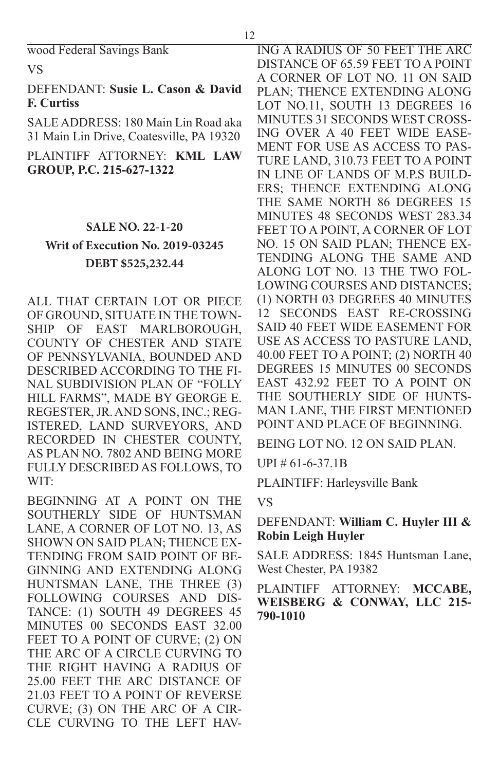#### DEFENDANT: **Susie L. Cason & David F. Curtiss**

SALE ADDRESS: 180 Main Lin Road aka 31 Main Lin Drive, Coatesville, PA 19320

PLAINTIFF ATTORNEY: **KML LAW GROUP, P.C. 215-627-1322**

# **SALE NO. 22-1-20**

# **Writ of Execution No. 2019-03245 DEBT \$525,232.44**

ALL THAT CERTAIN LOT OR PIECE OF GROUND, SITUATE IN THE TOWN-SHIP OF EAST MARLBOROUGH, COUNTY OF CHESTER AND STATE OF PENNSYLVANIA, BOUNDED AND DESCRIBED ACCORDING TO THE FI-NAL SUBDIVISION PLAN OF "FOLLY HILL FARMS", MADE BY GEORGE E. REGESTER, JR. AND SONS, INC.; REG-ISTERED, LAND SURVEYORS, AND RECORDED IN CHESTER COUNTY, AS PLAN NO. 7802 AND BEING MORE FULLY DESCRIBED AS FOLLOWS, TO WIT:

BEGINNING AT A POINT ON THE SOUTHERLY SIDE OF HUNTSMAN LANE, A CORNER OF LOT NO. 13, AS SHOWN ON SAID PLAN; THENCE EX-TENDING FROM SAID POINT OF BE-GINNING AND EXTENDING ALONG HUNTSMAN LANE, THE THREE (3) FOLLOWING COURSES AND DIS-TANCE: (1) SOUTH 49 DEGREES 45 MINUTES 00 SECONDS EAST 32.00 FEET TO A POINT OF CURVE; (2) ON THE ARC OF A CIRCLE CURVING TO THE RIGHT HAVING A RADIUS OF 25.00 FEET THE ARC DISTANCE OF 21.03 FEET TO A POINT OF REVERSE CURVE; (3) ON THE ARC OF A CIR-CLE CURVING TO THE LEFT HAV- ING A RADIUS OF 50 FEET THE ARC DISTANCE OF 65.59 FEET TO A POINT A CORNER OF LOT NO. 11 ON SAID PLAN; THENCE EXTENDING ALONG LOT NO.11, SOUTH 13 DEGREES 16 MINUTES 31 SECONDS WEST CROSS-ING OVER A 40 FEET WIDE EASE-MENT FOR USE AS ACCESS TO PAS-TURE LAND, 310.73 FEET TO A POINT IN LINE OF LANDS OF M.P.S BUILD-ERS; THENCE EXTENDING ALONG THE SAME NORTH 86 DEGREES 15 MINUTES 48 SECONDS WEST 283.34 FEET TO A POINT, A CORNER OF LOT NO. 15 ON SAID PLAN; THENCE EX-TENDING ALONG THE SAME AND ALONG LOT NO. 13 THE TWO FOL-LOWING COURSES AND DISTANCES; (1) NORTH 03 DEGREES 40 MINUTES 12 SECONDS EAST RE-CROSSING SAID 40 FEET WIDE EASEMENT FOR USE AS ACCESS TO PASTURE LAND, 40.00 FEET TO A POINT; (2) NORTH 40 DEGREES 15 MINUTES 00 SECONDS EAST 432.92 FEET TO A POINT ON THE SOUTHERLY SIDE OF HUNTS-MAN LANE, THE FIRST MENTIONED POINT AND PLACE OF BEGINNING.

BEING LOT NO. 12 ON SAID PLAN.

UPI # 61-6-37.1B

PLAINTIFF: Harleysville Bank

#### VS

# DEFENDANT: **William C. Huyler III & Robin Leigh Huyler**

SALE ADDRESS: 1845 Huntsman Lane, West Chester, PA 19382

PLAINTIFF ATTORNEY: **MCCABE, WEISBERG & CONWAY, LLC 215- 790-1010**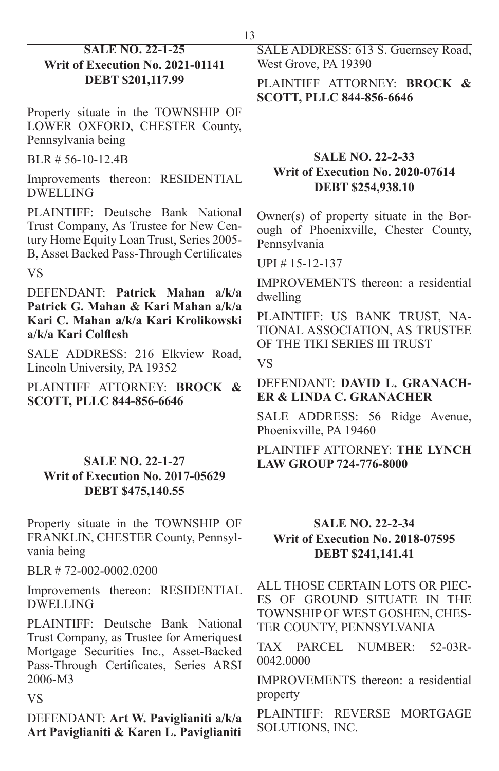## **SALE NO. 22-1-25 Writ of Execution No. 2021-01141 DEBT \$201,117.99**

Property situate in the TOWNSHIP OF LOWER OXFORD, CHESTER County, Pennsylvania being

BLR # 56-10-12.4B

Improvements thereon: RESIDENTIAL DWELLING

PLAINTIFF: Deutsche Bank National Trust Company, As Trustee for New Century Home Equity Loan Trust, Series 2005- B, Asset Backed Pass-Through Certificates

VS

DEFENDANT: **Patrick Mahan a/k/a Patrick G. Mahan & Kari Mahan a/k/a Kari C. Mahan a/k/a Kari Krolikowski a/k/a Kari Colflesh**

SALE ADDRESS: 216 Elkview Road, Lincoln University, PA 19352

PLAINTIFF ATTORNEY: **BROCK & SCOTT, PLLC 844-856-6646**

#### **SALE NO. 22-1-27 Writ of Execution No. 2017-05629 DEBT \$475,140.55**

Property situate in the TOWNSHIP OF FRANKLIN, CHESTER County, Pennsylvania being

BLR # 72-002-0002.0200

Improvements thereon: RESIDENTIAL DWELLING

PLAINTIFF: Deutsche Bank National Trust Company, as Trustee for Ameriquest Mortgage Securities Inc., Asset-Backed Pass-Through Certificates, Series ARSI 2006-M3

VS

DEFENDANT: **Art W. Paviglianiti a/k/a Art Paviglianiti & Karen L. Paviglianiti**

SALE ADDRESS: 613 S. Guernsey Road, West Grove, PA 19390

PLAINTIFF ATTORNEY: **BROCK & SCOTT, PLLC 844-856-6646**

#### **SALE NO. 22-2-33 Writ of Execution No. 2020-07614 DEBT \$254,938.10**

Owner(s) of property situate in the Borough of Phoenixville, Chester County, Pennsylvania

UPI # 15-12-137

IMPROVEMENTS thereon: a residential dwelling

PLAINTIFF: US BANK TRUST, NA-TIONAL ASSOCIATION, AS TRUSTEE OF THE TIKI SERIES III TRUST

VS

#### DEFENDANT: **DAVID L. GRANACH-ER & LINDA C. GRANACHER**

SALE ADDRESS: 56 Ridge Avenue, Phoenixville, PA 19460

#### PLAINTIFF ATTORNEY: **THE LYNCH LAW GROUP 724-776-8000**

# **SALE NO. 22-2-34 Writ of Execution No. 2018-07595 DEBT \$241,141.41**

ALL THOSE CERTAIN LOTS OR PIEC-ES OF GROUND SITUATE IN THE TOWNSHIP OF WEST GOSHEN, CHES-TER COUNTY, PENNSYLVANIA

TAX PARCEL NUMBER: 52-03R-0042.0000

IMPROVEMENTS thereon: a residential property

PLAINTIFF: REVERSE MORTGAGE SOLUTIONS, INC.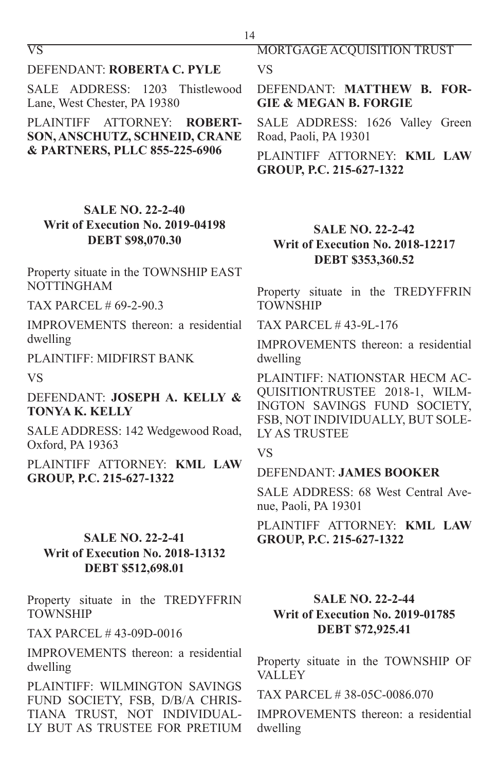$\nabla \mathbf{S}$ 

#### DEFENDANT: **ROBERTA C. PYLE**

SALE ADDRESS: 1203 Thistlewood Lane, West Chester, PA 19380

PLAINTIFF ATTORNEY: **ROBERT-SON, ANSCHUTZ, SCHNEID, CRANE & PARTNERS, PLLC 855-225-6906**

# **SALE NO. 22-2-40 Writ of Execution No. 2019-04198 DEBT \$98,070.30**

Property situate in the TOWNSHIP EAST NOTTINGHAM

TAX PARCEL # 69-2-90.3

IMPROVEMENTS thereon: a residential dwelling

PLAINTIFF: MIDFIRST BANK

VS

DEFENDANT: **JOSEPH A. KELLY & TONYA K. KELLY**

SALE ADDRESS: 142 Wedgewood Road, Oxford, PA 19363

PLAINTIFF ATTORNEY: **KML LAW GROUP, P.C. 215-627-1322**

#### **SALE NO. 22-2-41 Writ of Execution No. 2018-13132 DEBT \$512,698.01**

Property situate in the TREDYFFRIN TOWNSHIP

TAX PARCEL # 43-09D-0016

IMPROVEMENTS thereon: a residential dwelling

PLAINTIFF: WILMINGTON SAVINGS FUND SOCIETY, FSB, D/B/A CHRIS-TIANA TRUST, NOT INDIVIDUAL-LY BUT AS TRUSTEE FOR PRETIUM

VS

DEFENDANT: **MATTHEW B. FOR-GIE & MEGAN B. FORGIE**

SALE ADDRESS: 1626 Valley Green Road, Paoli, PA 19301

PLAINTIFF ATTORNEY: **KML LAW GROUP, P.C. 215-627-1322**

# **SALE NO. 22-2-42 Writ of Execution No. 2018-12217 DEBT \$353,360.52**

Property situate in the TREDYFFRIN TOWNSHIP

TAX PARCEL # 43-9L-176

IMPROVEMENTS thereon: a residential dwelling

PLAINTIFF: NATIONSTAR HECM AC-QUISITIONTRUSTEE 2018-1, WILM-INGTON SAVINGS FUND SOCIETY, FSB, NOT INDIVIDUALLY, BUT SOLE-LY AS TRUSTEE

VS

DEFENDANT: **JAMES BOOKER**

SALE ADDRESS: 68 West Central Avenue, Paoli, PA 19301

PLAINTIFF ATTORNEY: **KML LAW GROUP, P.C. 215-627-1322**

# **SALE NO. 22-2-44 Writ of Execution No. 2019-01785 DEBT \$72,925.41**

Property situate in the TOWNSHIP OF **VALLEY** 

TAX PARCEL # 38-05C-0086.070

IMPROVEMENTS thereon: a residential dwelling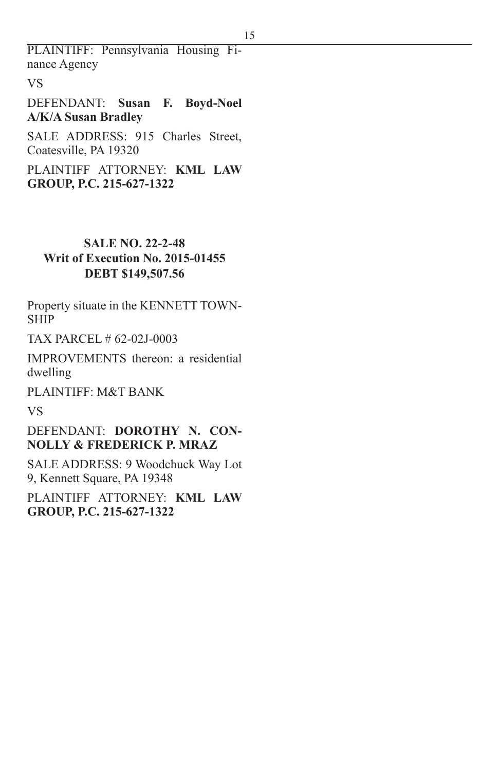PLAINTIFF: Pennsylvania Housing Finance Agency

#### VS

DEFENDANT: **Susan F. Boyd-Noel A/K/A Susan Bradley**

SALE ADDRESS: 915 Charles Street, Coatesville, PA 19320

PLAINTIFF ATTORNEY: **KML LAW GROUP, P.C. 215-627-1322**

# **SALE NO. 22-2-48 Writ of Execution No. 2015-01455 DEBT \$149,507.56**

Property situate in the KENNETT TOWN-**SHIP** 

TAX PARCEL # 62-02J-0003

IMPROVEMENTS thereon: a residential dwelling

PLAINTIFF: M&T BANK

VS

DEFENDANT: **DOROTHY N. CON-NOLLY & FREDERICK P. MRAZ**

SALE ADDRESS: 9 Woodchuck Way Lot 9, Kennett Square, PA 19348

PLAINTIFF ATTORNEY: **KML LAW GROUP, P.C. 215-627-1322**